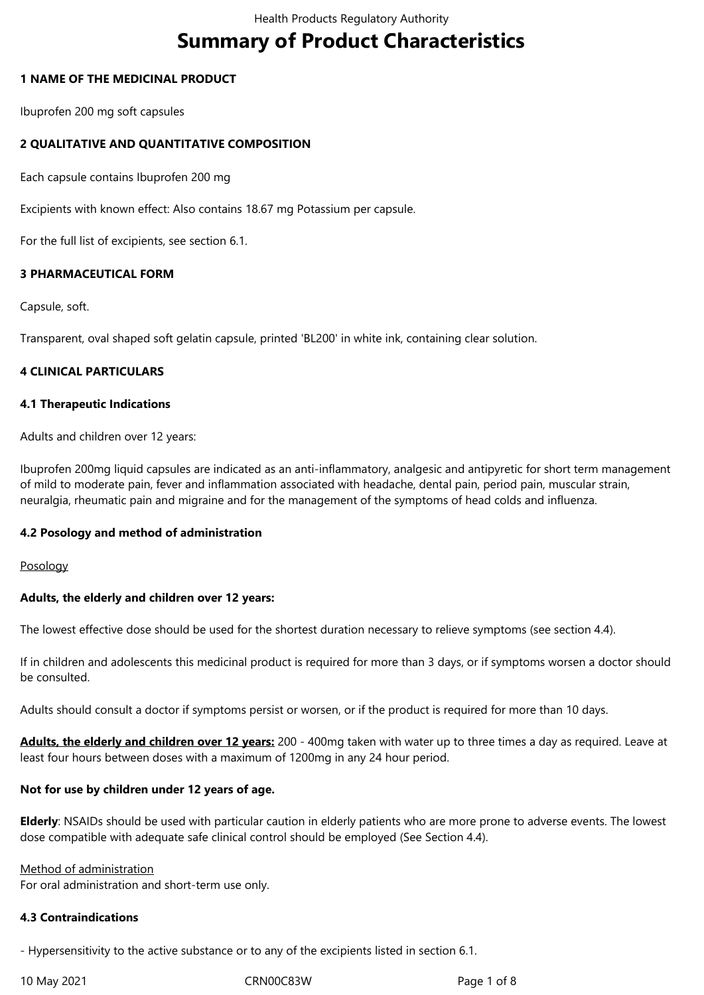# **Summary of Product Characteristics**

## **1 NAME OF THE MEDICINAL PRODUCT**

Ibuprofen 200 mg soft capsules

## **2 QUALITATIVE AND QUANTITATIVE COMPOSITION**

Each capsule contains Ibuprofen 200 mg

Excipients with known effect: Also contains 18.67 mg Potassium per capsule.

For the full list of excipients, see section 6.1.

## **3 PHARMACEUTICAL FORM**

Capsule, soft.

Transparent, oval shaped soft gelatin capsule, printed 'BL200' in white ink, containing clear solution.

## **4 CLINICAL PARTICULARS**

#### **4.1 Therapeutic Indications**

Adults and children over 12 years:

Ibuprofen 200mg liquid capsules are indicated as an anti-inflammatory, analgesic and antipyretic for short term management of mild to moderate pain, fever and inflammation associated with headache, dental pain, period pain, muscular strain, neuralgia, rheumatic pain and migraine and for the management of the symptoms of head colds and influenza.

#### **4.2 Posology and method of administration**

Posology

#### **Adults, the elderly and children over 12 years:**

The lowest effective dose should be used for the shortest duration necessary to relieve symptoms (see section 4.4).

If in children and adolescents this medicinal product is required for more than 3 days, or if symptoms worsen a doctor should be consulted.

Adults should consult a doctor if symptoms persist or worsen, or if the product is required for more than 10 days.

**Adults, the elderly and children over 12 years:** 200 - 400mg taken with water up to three times a day as required. Leave at least four hours between doses with a maximum of 1200mg in any 24 hour period.

## **Not for use by children under 12 years of age.**

**Elderly**: NSAIDs should be used with particular caution in elderly patients who are more prone to adverse events. The lowest dose compatible with adequate safe clinical control should be employed (See Section 4.4).

Method of administration For oral administration and short-term use only.

#### **4.3 Contraindications**

- Hypersensitivity to the active substance or to any of the excipients listed in section 6.1.

10 May 2021 CRN00C83W Page 1 of 8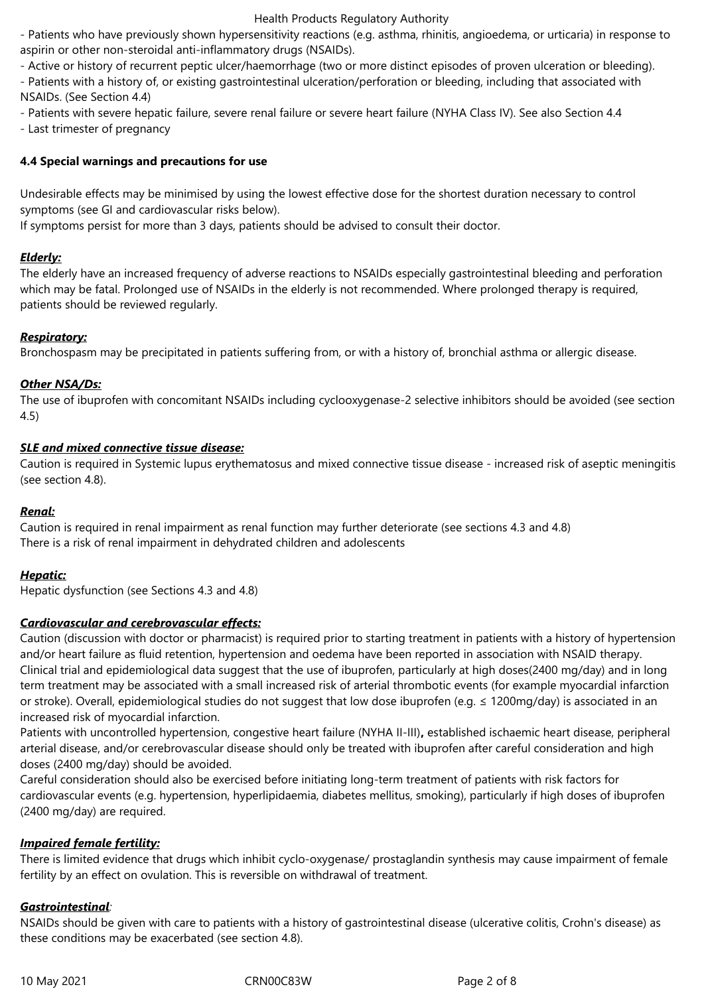- Patients who have previously shown hypersensitivity reactions (e.g. asthma, rhinitis, angioedema, or urticaria) in response to aspirin or other non-steroidal anti-inflammatory drugs (NSAIDs).

- Active or history of recurrent peptic ulcer/haemorrhage (two or more distinct episodes of proven ulceration or bleeding).

- Patients with a history of, or existing gastrointestinal ulceration/perforation or bleeding, including that associated with NSAIDs. (See Section 4.4)

- Patients with severe hepatic failure, severe renal failure or severe heart failure (NYHA Class IV). See also Section 4.4

- Last trimester of pregnancy

# **4.4 Special warnings and precautions for use**

Undesirable effects may be minimised by using the lowest effective dose for the shortest duration necessary to control symptoms (see GI and cardiovascular risks below).

If symptoms persist for more than 3 days, patients should be advised to consult their doctor.

## *Elderly:*

The elderly have an increased frequency of adverse reactions to NSAIDs especially gastrointestinal bleeding and perforation which may be fatal. Prolonged use of NSAIDs in the elderly is not recommended. Where prolonged therapy is required, patients should be reviewed regularly.

## *Respiratory:*

Bronchospasm may be precipitated in patients suffering from, or with a history of, bronchial asthma or allergic disease.

## *Other NSA/Ds:*

The use of ibuprofen with concomitant NSAIDs including cyclooxygenase-2 selective inhibitors should be avoided (see section 4.5)

## *SLE and mixed connective tissue disease:*

Caution is required in Systemic lupus erythematosus and mixed connective tissue disease - increased risk of aseptic meningitis (see section 4.8).

#### *Renal:*

Caution is required in renal impairment as renal function may further deteriorate (see sections 4.3 and 4.8) There is a risk of renal impairment in dehydrated children and adolescents

## *Hepatic:*

Hepatic dysfunction (see Sections 4.3 and 4.8)

## *Cardiovascular and cerebrovascular effects:*

Caution (discussion with doctor or pharmacist) is required prior to starting treatment in patients with a history of hypertension and/or heart failure as fluid retention, hypertension and oedema have been reported in association with NSAID therapy. Clinical trial and epidemiological data suggest that the use of ibuprofen, particularly at high doses(2400 mg/day) and in long term treatment may be associated with a small increased risk of arterial thrombotic events (for example myocardial infarction or stroke). Overall, epidemiological studies do not suggest that low dose ibuprofen (e.g. ≤ 1200mg/day) is associated in an increased risk of myocardial infarction.

Patients with uncontrolled hypertension, congestive heart failure (NYHA II-III)**,** established ischaemic heart disease, peripheral arterial disease, and/or cerebrovascular disease should only be treated with ibuprofen after careful consideration and high doses (2400 mg/day) should be avoided.

Careful consideration should also be exercised before initiating long-term treatment of patients with risk factors for cardiovascular events (e.g. hypertension, hyperlipidaemia, diabetes mellitus, smoking), particularly if high doses of ibuprofen (2400 mg/day) are required.

## *Impaired female fertility:*

There is limited evidence that drugs which inhibit cyclo-oxygenase/ prostaglandin synthesis may cause impairment of female fertility by an effect on ovulation. This is reversible on withdrawal of treatment.

## *Gastrointestinal:*

NSAIDs should be given with care to patients with a history of gastrointestinal disease (ulcerative colitis, Crohn's disease) as these conditions may be exacerbated (see section 4.8).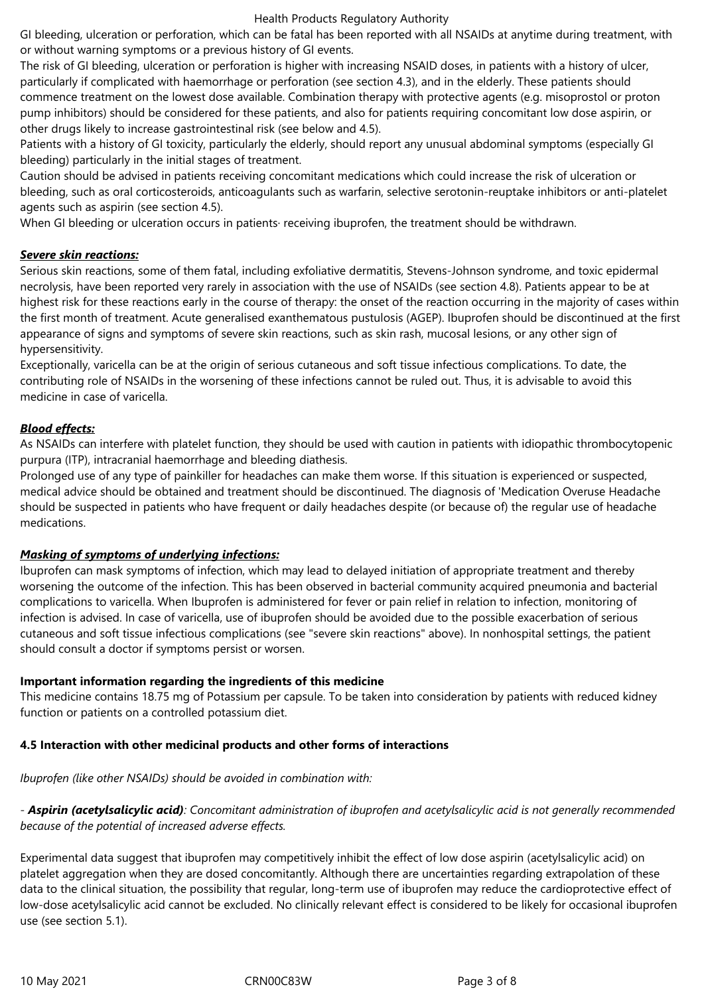GI bleeding, ulceration or perforation, which can be fatal has been reported with all NSAIDs at anytime during treatment, with or without warning symptoms or a previous history of GI events.

The risk of GI bleeding, ulceration or perforation is higher with increasing NSAID doses, in patients with a history of ulcer, particularly if complicated with haemorrhage or perforation (see section 4.3), and in the elderly. These patients should commence treatment on the lowest dose available. Combination therapy with protective agents (e.g. misoprostol or proton pump inhibitors) should be considered for these patients, and also for patients requiring concomitant low dose aspirin, or other drugs likely to increase gastrointestinal risk (see below and 4.5).

Patients with a history of GI toxicity, particularly the elderly, should report any unusual abdominal symptoms (especially GI bleeding) particularly in the initial stages of treatment.

Caution should be advised in patients receiving concomitant medications which could increase the risk of ulceration or bleeding, such as oral corticosteroids, anticoagulants such as warfarin, selective serotonin-reuptake inhibitors or anti-platelet agents such as aspirin (see section 4.5).

When GI bleeding or ulceration occurs in patients· receiving ibuprofen, the treatment should be withdrawn.

## *Severe skin reactions:*

Serious skin reactions, some of them fatal, including exfoliative dermatitis, Stevens-Johnson syndrome, and toxic epidermal necrolysis, have been reported very rarely in association with the use of NSAIDs (see section 4.8). Patients appear to be at highest risk for these reactions early in the course of therapy: the onset of the reaction occurring in the majority of cases within the first month of treatment. Acute generalised exanthematous pustulosis (AGEP). Ibuprofen should be discontinued at the first appearance of signs and symptoms of severe skin reactions, such as skin rash, mucosal lesions, or any other sign of hypersensitivity.

Exceptionally, varicella can be at the origin of serious cutaneous and soft tissue infectious complications. To date, the contributing role of NSAIDs in the worsening of these infections cannot be ruled out. Thus, it is advisable to avoid this medicine in case of varicella.

## *Blood effects:*

As NSAIDs can interfere with platelet function, they should be used with caution in patients with idiopathic thrombocytopenic purpura (ITP), intracranial haemorrhage and bleeding diathesis.

Prolonged use of any type of painkiller for headaches can make them worse. If this situation is experienced or suspected, medical advice should be obtained and treatment should be discontinued. The diagnosis of 'Medication Overuse Headache should be suspected in patients who have frequent or daily headaches despite (or because of) the regular use of headache medications.

#### *Masking of symptoms of underlying infections:*

Ibuprofen can mask symptoms of infection, which may lead to delayed initiation of appropriate treatment and thereby worsening the outcome of the infection. This has been observed in bacterial community acquired pneumonia and bacterial complications to varicella. When Ibuprofen is administered for fever or pain relief in relation to infection, monitoring of infection is advised. In case of varicella, use of ibuprofen should be avoided due to the possible exacerbation of serious cutaneous and soft tissue infectious complications (see "severe skin reactions" above). In nonhospital settings, the patient should consult a doctor if symptoms persist or worsen.

## **Important information regarding the ingredients of this medicine**

This medicine contains 18.75 mg of Potassium per capsule. To be taken into consideration by patients with reduced kidney function or patients on a controlled potassium diet.

## **4.5 Interaction with other medicinal products and other forms of interactions**

# *Ibuprofen (like other NSAIDs) should be avoided in combination with:*

# - *Aspirin (acetylsalicylic acid): Concomitant administration of ibuprofen and acetylsalicylic acid is not generally recommended because of the potential of increased adverse effects.*

Experimental data suggest that ibuprofen may competitively inhibit the effect of low dose aspirin (acetylsalicylic acid) on platelet aggregation when they are dosed concomitantly. Although there are uncertainties regarding extrapolation of these data to the clinical situation, the possibility that regular, long-term use of ibuprofen may reduce the cardioprotective effect of low-dose acetylsalicylic acid cannot be excluded. No clinically relevant effect is considered to be likely for occasional ibuprofen use (see section 5.1).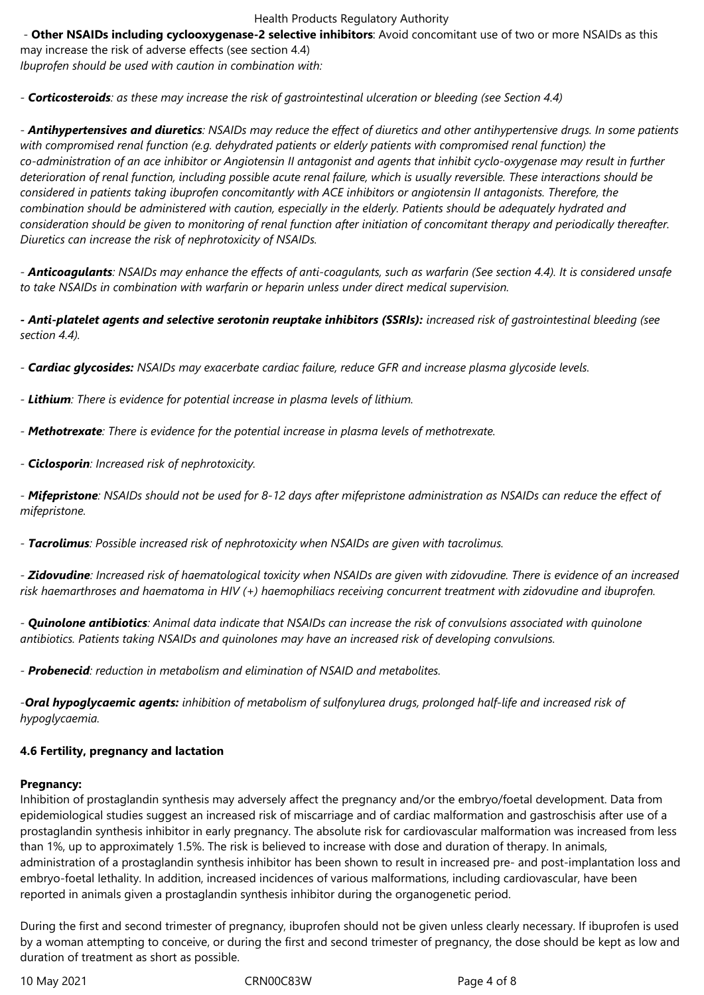- **Other NSAIDs including cyclooxygenase-2 selective inhibitors**: Avoid concomitant use of two or more NSAIDs as this may increase the risk of adverse effects (see section 4.4)

*Ibuprofen should be used with caution in combination with:*

*- Corticosteroids: as these may increase the risk of gastrointestinal ulceration or bleeding (see Section 4.4)*

- *Antihypertensives and diuretics: NSAIDs may reduce the effect of diuretics and other antihypertensive drugs. In some patients with compromised renal function (e.g. dehydrated patients or elderly patients with compromised renal function) the co-administration of an ace inhibitor or Angiotensin II antagonist and agents that inhibit cyclo-oxygenase may result in further deterioration of renal function, including possible acute renal failure, which is usually reversible. These interactions should be considered in patients taking ibuprofen concomitantly with ACE inhibitors or angiotensin II antagonists. Therefore, the combination should be administered with caution, especially in the elderly. Patients should be adequately hydrated and consideration should be given to monitoring of renal function after initiation of concomitant therapy and periodically thereafter. Diuretics can increase the risk of nephrotoxicity of NSAIDs.*

*- Anticoagulants: NSAIDs may enhance the effects of anti-coagulants, such as warfarin (See section 4.4). It is considered unsafe to take NSAIDs in combination with warfarin or heparin unless under direct medical supervision.*

*- Anti-platelet agents and selective serotonin reuptake inhibitors (SSRIs): increased risk of gastrointestinal bleeding (see section 4.4).*

*- Cardiac glycosides: NSAIDs may exacerbate cardiac failure, reduce GFR and increase plasma glycoside levels.*

- *Lithium: There is evidence for potential increase in plasma levels of lithium.*
- *Methotrexate: There is evidence for the potential increase in plasma levels of methotrexate.*
- *Ciclosporin: Increased risk of nephrotoxicity.*

*- Mifepristone: NSAIDs should not be used for 8-12 days after mifepristone administration as NSAIDs can reduce the effect of mifepristone.*

*- Tacrolimus: Possible increased risk of nephrotoxicity when NSAIDs are given with tacrolimus.*

*- Zidovudine: Increased risk of haematological toxicity when NSAIDs are given with zidovudine. There is evidence of an increased risk haemarthroses and haematoma in HIV (+) haemophiliacs receiving concurrent treatment with zidovudine and ibuprofen.*

*- Quinolone antibiotics: Animal data indicate that NSAIDs can increase the risk of convulsions associated with quinolone antibiotics. Patients taking NSAIDs and quinolones may have an increased risk of developing convulsions.*

*- Probenecid: reduction in metabolism and elimination of NSAID and metabolites.*

*-Oral hypoglycaemic agents: inhibition of metabolism of sulfonylurea drugs, prolonged half-life and increased risk of hypoglycaemia.*

#### **4.6 Fertility, pregnancy and lactation**

#### **Pregnancy:**

Inhibition of prostaglandin synthesis may adversely affect the pregnancy and/or the embryo/foetal development. Data from epidemiological studies suggest an increased risk of miscarriage and of cardiac malformation and gastroschisis after use of a prostaglandin synthesis inhibitor in early pregnancy. The absolute risk for cardiovascular malformation was increased from less than 1%, up to approximately 1.5%. The risk is believed to increase with dose and duration of therapy. In animals, administration of a prostaglandin synthesis inhibitor has been shown to result in increased pre- and post-implantation loss and embryo-foetal lethality. In addition, increased incidences of various malformations, including cardiovascular, have been reported in animals given a prostaglandin synthesis inhibitor during the organogenetic period.

During the first and second trimester of pregnancy, ibuprofen should not be given unless clearly necessary. If ibuprofen is used by a woman attempting to conceive, or during the first and second trimester of pregnancy, the dose should be kept as low and duration of treatment as short as possible.

10 May 2021 CRN00C83W Page 4 of 8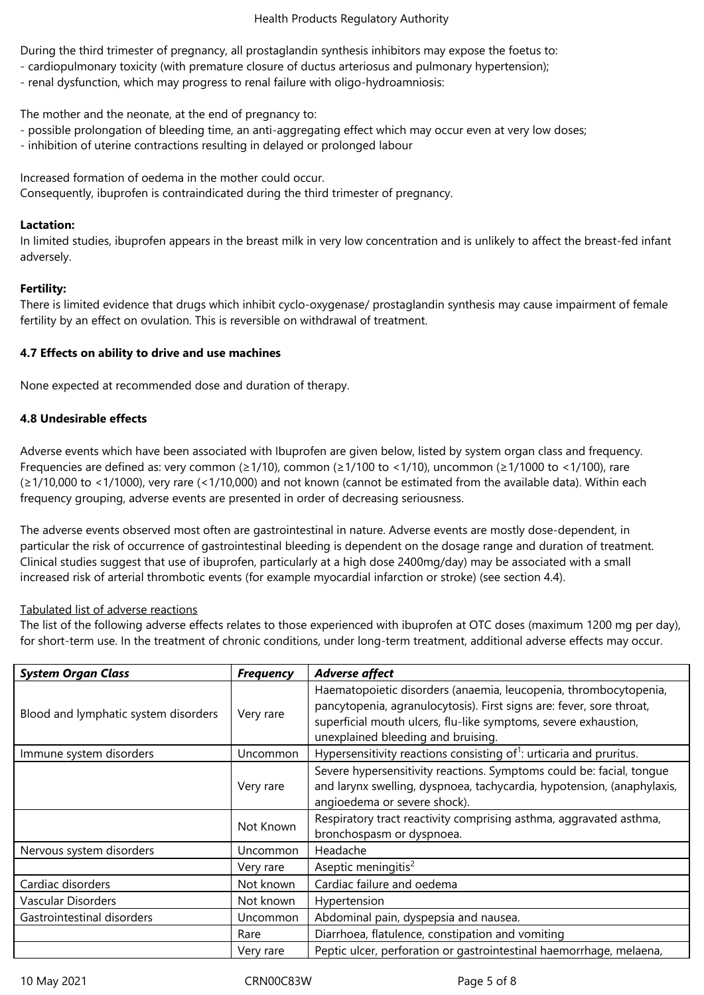During the third trimester of pregnancy, all prostaglandin synthesis inhibitors may expose the foetus to:

- cardiopulmonary toxicity (with premature closure of ductus arteriosus and pulmonary hypertension);
- renal dysfunction, which may progress to renal failure with oligo-hydroamniosis:

The mother and the neonate, at the end of pregnancy to:

- possible prolongation of bleeding time, an anti-aggregating effect which may occur even at very low doses;
- inhibition of uterine contractions resulting in delayed or prolonged labour

Increased formation of oedema in the mother could occur. Consequently, ibuprofen is contraindicated during the third trimester of pregnancy.

# **Lactation:**

In limited studies, ibuprofen appears in the breast milk in very low concentration and is unlikely to affect the breast-fed infant adversely.

# **Fertility:**

There is limited evidence that drugs which inhibit cyclo-oxygenase/ prostaglandin synthesis may cause impairment of female fertility by an effect on ovulation. This is reversible on withdrawal of treatment.

# **4.7 Effects on ability to drive and use machines**

None expected at recommended dose and duration of therapy.

# **4.8 Undesirable effects**

Adverse events which have been associated with Ibuprofen are given below, listed by system organ class and frequency. Frequencies are defined as: very common (≥1/10), common (≥1/100 to <1/10), uncommon (≥1/1000 to <1/100), rare (≥1/10,000 to <1/1000), very rare (<1/10,000) and not known (cannot be estimated from the available data). Within each frequency grouping, adverse events are presented in order of decreasing seriousness.

The adverse events observed most often are gastrointestinal in nature. Adverse events are mostly dose-dependent, in particular the risk of occurrence of gastrointestinal bleeding is dependent on the dosage range and duration of treatment. Clinical studies suggest that use of ibuprofen, particularly at a high dose 2400mg/day) may be associated with a small increased risk of arterial thrombotic events (for example myocardial infarction or stroke) (see section 4.4).

## Tabulated list of adverse reactions

The list of the following adverse effects relates to those experienced with ibuprofen at OTC doses (maximum 1200 mg per day), for short-term use. In the treatment of chronic conditions, under long-term treatment, additional adverse effects may occur.

| <b>System Organ Class</b>            | <b>Frequency</b> | <b>Adverse affect</b>                                                                                                                                                                                                                             |
|--------------------------------------|------------------|---------------------------------------------------------------------------------------------------------------------------------------------------------------------------------------------------------------------------------------------------|
| Blood and lymphatic system disorders | Very rare        | Haematopoietic disorders (anaemia, leucopenia, thrombocytopenia,<br>pancytopenia, agranulocytosis). First signs are: fever, sore throat,<br>superficial mouth ulcers, flu-like symptoms, severe exhaustion,<br>unexplained bleeding and bruising. |
| Immune system disorders              | Uncommon         | Hypersensitivity reactions consisting of <sup>1</sup> : urticaria and pruritus.                                                                                                                                                                   |
|                                      | Very rare        | Severe hypersensitivity reactions. Symptoms could be: facial, tongue<br>and larynx swelling, dyspnoea, tachycardia, hypotension, (anaphylaxis,<br>angioedema or severe shock).                                                                    |
|                                      | Not Known        | Respiratory tract reactivity comprising asthma, aggravated asthma,<br>bronchospasm or dyspnoea.                                                                                                                                                   |
| Nervous system disorders             | Uncommon         | Headache                                                                                                                                                                                                                                          |
|                                      | Very rare        | Aseptic meningitis <sup>2</sup>                                                                                                                                                                                                                   |
| Cardiac disorders                    | Not known        | Cardiac failure and oedema                                                                                                                                                                                                                        |
| Vascular Disorders                   | Not known        | Hypertension                                                                                                                                                                                                                                      |
| Gastrointestinal disorders           | Uncommon         | Abdominal pain, dyspepsia and nausea.                                                                                                                                                                                                             |
|                                      | Rare             | Diarrhoea, flatulence, constipation and vomiting                                                                                                                                                                                                  |
|                                      | Very rare        | Peptic ulcer, perforation or gastrointestinal haemorrhage, melaena,                                                                                                                                                                               |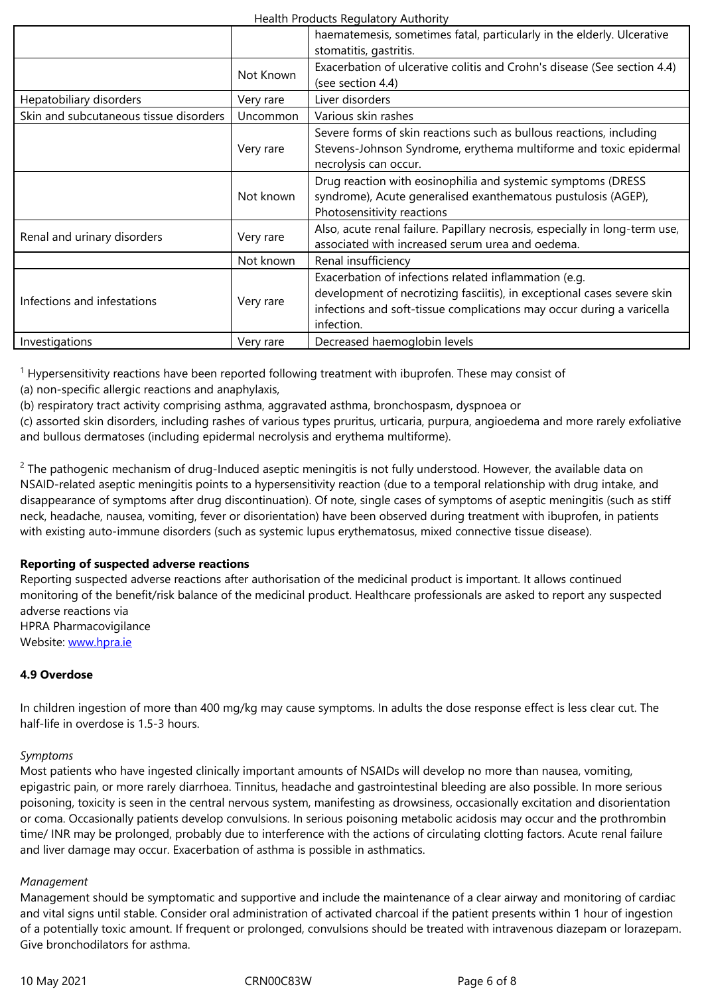|                                        | Not Known       | Exacerbation of ulcerative colitis and Crohn's disease (See section 4.4)<br>(see section 4.4)                                                                                                                           |
|----------------------------------------|-----------------|-------------------------------------------------------------------------------------------------------------------------------------------------------------------------------------------------------------------------|
| Hepatobiliary disorders                | Very rare       | Liver disorders                                                                                                                                                                                                         |
| Skin and subcutaneous tissue disorders | <b>Uncommon</b> | Various skin rashes                                                                                                                                                                                                     |
|                                        | Very rare       | Severe forms of skin reactions such as bullous reactions, including<br>Stevens-Johnson Syndrome, erythema multiforme and toxic epidermal<br>necrolysis can occur.                                                       |
|                                        | Not known       | Drug reaction with eosinophilia and systemic symptoms (DRESS<br>syndrome), Acute generalised exanthematous pustulosis (AGEP),<br>Photosensitivity reactions                                                             |
| Renal and urinary disorders            | Very rare       | Also, acute renal failure. Papillary necrosis, especially in long-term use,<br>associated with increased serum urea and oedema.                                                                                         |
|                                        | Not known       | Renal insufficiency                                                                                                                                                                                                     |
| Infections and infestations            | Very rare       | Exacerbation of infections related inflammation (e.g.<br>development of necrotizing fasciitis), in exceptional cases severe skin<br>infections and soft-tissue complications may occur during a varicella<br>infection. |
| Investigations                         | Very rare       | Decreased haemoglobin levels                                                                                                                                                                                            |

<sup>1</sup> Hypersensitivity reactions have been reported following treatment with ibuprofen. These may consist of

(a) non-specific allergic reactions and anaphylaxis,

(b) respiratory tract activity comprising asthma, aggravated asthma, bronchospasm, dyspnoea or

(c) assorted skin disorders, including rashes of various types pruritus, urticaria, purpura, angioedema and more rarely exfoliative and bullous dermatoses (including epidermal necrolysis and erythema multiforme).

 $2$  The pathogenic mechanism of drug-Induced aseptic meningitis is not fully understood. However, the available data on NSAID-related aseptic meningitis points to a hypersensitivity reaction (due to a temporal relationship with drug intake, and disappearance of symptoms after drug discontinuation). Of note, single cases of symptoms of aseptic meningitis (such as stiff neck, headache, nausea, vomiting, fever or disorientation) have been observed during treatment with ibuprofen, in patients with existing auto-immune disorders (such as systemic lupus erythematosus, mixed connective tissue disease).

# **Reporting of suspected adverse reactions**

Reporting suspected adverse reactions after authorisation of the medicinal product is important. It allows continued monitoring of the benefit/risk balance of the medicinal product. Healthcare professionals are asked to report any suspected adverse reactions via HPRA Pharmacovigilance

Website: www.hpra.ie

# **4.9 Overdose**

In childre[n ingestion o](http://www.hpra.ie/)f more than 400 mg/kg may cause symptoms. In adults the dose response effect is less clear cut. The half-life in overdose is 1.5-3 hours.

# *Symptoms*

Most patients who have ingested clinically important amounts of NSAIDs will develop no more than nausea, vomiting, epigastric pain, or more rarely diarrhoea. Tinnitus, headache and gastrointestinal bleeding are also possible. In more serious poisoning, toxicity is seen in the central nervous system, manifesting as drowsiness, occasionally excitation and disorientation or coma. Occasionally patients develop convulsions. In serious poisoning metabolic acidosis may occur and the prothrombin time/ INR may be prolonged, probably due to interference with the actions of circulating clotting factors. Acute renal failure and liver damage may occur. Exacerbation of asthma is possible in asthmatics.

## *Management*

Management should be symptomatic and supportive and include the maintenance of a clear airway and monitoring of cardiac and vital signs until stable. Consider oral administration of activated charcoal if the patient presents within 1 hour of ingestion of a potentially toxic amount. If frequent or prolonged, convulsions should be treated with intravenous diazepam or lorazepam. Give bronchodilators for asthma.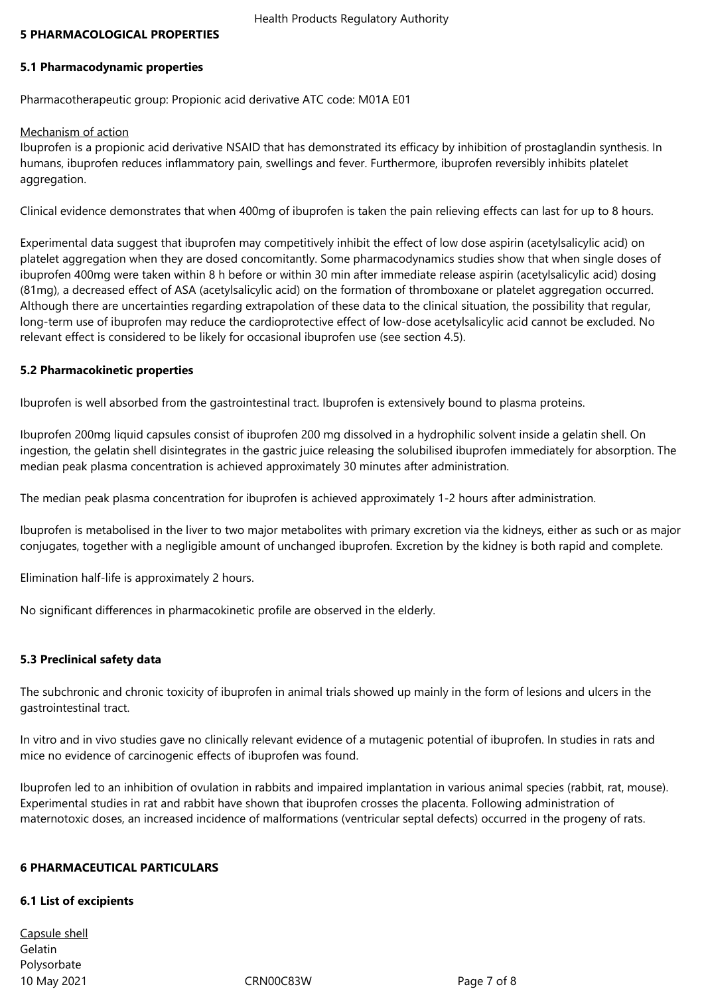#### **5 PHARMACOLOGICAL PROPERTIES**

#### **5.1 Pharmacodynamic properties**

Pharmacotherapeutic group: Propionic acid derivative ATC code: M01A E01

#### Mechanism of action

Ibuprofen is a propionic acid derivative NSAID that has demonstrated its efficacy by inhibition of prostaglandin synthesis. In humans, ibuprofen reduces inflammatory pain, swellings and fever. Furthermore, ibuprofen reversibly inhibits platelet aggregation.

Clinical evidence demonstrates that when 400mg of ibuprofen is taken the pain relieving effects can last for up to 8 hours.

Experimental data suggest that ibuprofen may competitively inhibit the effect of low dose aspirin (acetylsalicylic acid) on platelet aggregation when they are dosed concomitantly. Some pharmacodynamics studies show that when single doses of ibuprofen 400mg were taken within 8 h before or within 30 min after immediate release aspirin (acetylsalicylic acid) dosing (81mg), a decreased effect of ASA (acetylsalicylic acid) on the formation of thromboxane or platelet aggregation occurred. Although there are uncertainties regarding extrapolation of these data to the clinical situation, the possibility that regular, long-term use of ibuprofen may reduce the cardioprotective effect of low-dose acetylsalicylic acid cannot be excluded. No relevant effect is considered to be likely for occasional ibuprofen use (see section 4.5).

#### **5.2 Pharmacokinetic properties**

Ibuprofen is well absorbed from the gastrointestinal tract. Ibuprofen is extensively bound to plasma proteins.

Ibuprofen 200mg liquid capsules consist of ibuprofen 200 mg dissolved in a hydrophilic solvent inside a gelatin shell. On ingestion, the gelatin shell disintegrates in the gastric juice releasing the solubilised ibuprofen immediately for absorption. The median peak plasma concentration is achieved approximately 30 minutes after administration.

The median peak plasma concentration for ibuprofen is achieved approximately 1-2 hours after administration.

Ibuprofen is metabolised in the liver to two major metabolites with primary excretion via the kidneys, either as such or as major conjugates, together with a negligible amount of unchanged ibuprofen. Excretion by the kidney is both rapid and complete.

Elimination half-life is approximately 2 hours.

No significant differences in pharmacokinetic profile are observed in the elderly.

#### **5.3 Preclinical safety data**

The subchronic and chronic toxicity of ibuprofen in animal trials showed up mainly in the form of lesions and ulcers in the gastrointestinal tract.

In vitro and in vivo studies gave no clinically relevant evidence of a mutagenic potential of ibuprofen. In studies in rats and mice no evidence of carcinogenic effects of ibuprofen was found.

Ibuprofen led to an inhibition of ovulation in rabbits and impaired implantation in various animal species (rabbit, rat, mouse). Experimental studies in rat and rabbit have shown that ibuprofen crosses the placenta. Following administration of maternotoxic doses, an increased incidence of malformations (ventricular septal defects) occurred in the progeny of rats.

#### **6 PHARMACEUTICAL PARTICULARS**

#### **6.1 List of excipients**

10 May 2021 CRN00C83W Page 7 of 8 Capsule shell Gelatin Polysorbate